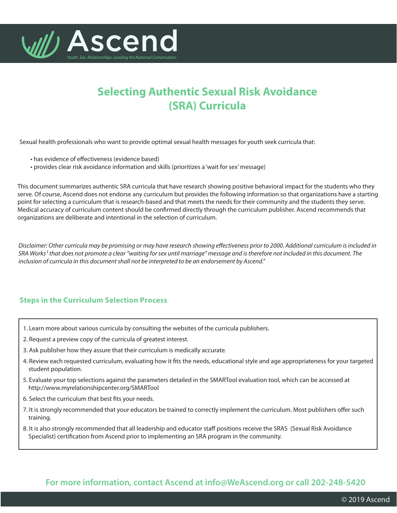

## **Selecting Authentic Sexual Risk Avoidance (SRA) Curricula**

Sexual health professionals who want to provide optimal sexual health messages for youth seek curricula that:

- has evidence of effectiveness (evidence based)
- provides clear risk avoidance information and skills (prioritizes a 'wait for sex' message)

This document summarizes authentic SRA curricula that have research showing positive behavioral impact for the students who they serve. Of course, Ascend does not endorse any curriculum but provides the following information so that organizations have a starting point for selecting a curriculum that is research-based and that meets the needs for their community and the students they serve. Medical accuracy of curriculum content should be confirmed directly through the curriculum publisher. Ascend recommends that organizations are deliberate and intentional in the selection of curriculum.

Disclaimer: Other curricula may be promising or may have research showing effectiveness prior to 2000. Additional curriculum is included in SRA Works<sup>1</sup> that does not promote a clear "waiting for sex until marriage" message and is therefore not included in this document. The *inclusion of curricula in this document shall not be interpreted to be an endorsement by Ascend."*

## **Steps in the Curriculum Selection Process**

- 1. Learn more about various curricula by consulting the websites of the curricula publishers.
- 2. Request a preview copy of the curricula of greatest interest.
- 3. Ask publisher how they assure that their curriculum is medically accurate.
- 4. Review each requested curriculum, evaluating how it fits the needs, educational style and age appropriateness for your targeted student population.
- 5. Evaluate your top selections against the parameters detailed in the SMARTool evaluation tool, which can be accessed at http://www.myrelationshipcenter.org/SMARTool
- 6. Select the curriculum that best fits your needs.
- 7. It is strongly recommended that your educators be trained to correctly implement the curriculum. Most publishers offer such training.
- 8. It is also strongly recommended that all leadership and educator staff positions receive the SRAS (Sexual Risk Avoidance Specialist) certification from Ascend prior to implementing an SRA program in the community.

## **For more information, contact Ascend at info@WeAscend.org or call 202-248-5420**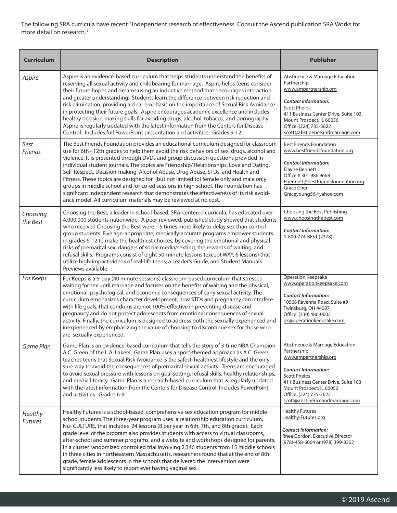The following SRA curricula have recent  $^2$ independent research of effectiveness. Consult the Ascend publication SRA Works for more detail on research. *1*

| <b>Curriculum</b>         | <b>Description</b>                                                                                                                                                                                                                                                                                                                                                                                                                                                                                                                                                                                                                                                                                                                                                                                                 | <b>Publisher</b>                                                                                                                                                                                                                                               |
|---------------------------|--------------------------------------------------------------------------------------------------------------------------------------------------------------------------------------------------------------------------------------------------------------------------------------------------------------------------------------------------------------------------------------------------------------------------------------------------------------------------------------------------------------------------------------------------------------------------------------------------------------------------------------------------------------------------------------------------------------------------------------------------------------------------------------------------------------------|----------------------------------------------------------------------------------------------------------------------------------------------------------------------------------------------------------------------------------------------------------------|
| Aspire                    | Aspire is an evidence-based curriculum that helps students understand the benefits of<br>reserving all sexual activity and childbearing for marriage. Aspire helps teens consider<br>their future hopes and dreams using an inductive method that encourages interaction<br>and greater understanding. Students learn the difference between risk reduction and<br>risk elimination, providing a clear emphasis on the importance of Sexual Risk Avoidance<br>in protecting their future goals. Aspire encourages academic excellence and includes<br>healthy decision-making skills for avoiding drugs, alcohol, tobacco, and pornography.<br>Aspire is regularly updated with the latest information from the Centers for Disease<br>Control. Includes full PowerPoint presentation and activities. Grades 9-12. | Abstinence & Marriage Education<br>Partnership<br>www.ampartnership.org<br><b>Contact Information:</b><br><b>Scott Phelps</b><br>411 Business Center Drive, Suite 103<br>Mount Prospect, IL 60056<br>Office: (224) 735-3622<br>scott@abstinenceandmarriage.com |
| <b>Best</b><br>Friends    | The Best Friends Foundation provides an educational curriculum designed for classroom<br>use for 6th - 12th grades to help them avoid the risk behaviors of sex, drugs, alcohol and<br>violence. It is presented through DVDs and group discussion questions provided in<br>individual student journals. The topics are Friendship/ Relationships, Love and Dating,<br>Self-Respect, Decision-making, Alcohol Abuse, Drug Abuse, STDs, and Health and<br>Fitness. These topics are designed for (but not limited to) female only and male only<br>groups in middle school and for co-ed sessions in high school. The Foundation has<br>significant independent research that demonstrates the effectiveness of its risk avoid-<br>ance model. All curriculum materials may be reviewed at no cost.                 | <b>Best Friends Foundation</b><br>www.bestfriendsfoundation.org<br><b>Contact Information:</b><br><b>Elayne Bennett</b><br>Office #301.986.9668<br>Ebennett@bestfriendsfoundation.org<br>Grace Chen<br>Graceyoung56@yahoo.com                                  |
| Choosing<br>the Best      | Choosing the Best, a leader in school-based, SRA-centered curricula, has educated over<br>4,000,000 students nationwide. A peer-reviewed, published study showed that students<br>who received Choosing the Best were 1.5 times more likely to delay sex than control<br>group students. Five age-appropriate, medically-accurate programs empower students<br>in grades 6-12 to make the healthiest choices, by covering the emotional and physical<br>risks of premarital sex, dangers of social media/sexting, the rewards of waiting, and<br>refusal skills. Programs consist of eight 50-minute lessons (except WAY, 6 lessons) that<br>utilize high-impact videos of real-life teens, a Leader's Guide, and Student Manuals.<br>Previews available.                                                          | Choosing the Best Publishing<br>www.choosingthebest.com<br><b>Contact Information:</b><br>1-800-774-BEST (2378)                                                                                                                                                |
| For Keeps                 | For Keeps is a 5-day (40 minute sessions) classroom-based curriculum that stresses<br>waiting for sex until marriage and focuses on the benefits of waiting and the physical,<br>emotional, psychological, and economic consequences of early sexual activity. The<br>curriculum emphasizes character development, how STDs and pregnancy can interfere<br>with life goals, that condoms are not 100% effective in preventing disease and<br>pregnancy and do not protect adolescents from emotional consequences of sexual<br>activity. Finally, the curriculum is designed to address both the sexually experienced and<br>inexperienced by emphasizing the value of choosing to discontinue sex for those who<br>are sexually experienced.                                                                      | <b>Operation Keepsake</b><br>www.operationkeepsake.com<br><b>Contact Information:</b><br>10568 Ravenna Road, Suite #9<br>Twinsburg, OH 44087<br>Office: (330) 486-0602<br>ok@operationkeepsake.com                                                             |
| Game Plan                 | Game Plan is an evidence-based curriculum that tells the story of 3-time NBA Champion<br>A.C. Green of the L.A. Lakers. Game Plan uses a sport-themed approach as A.C. Green<br>teaches teens that Sexual Risk Avoidance is the safest, healthiest lifestyle and the only<br>sure way to avoid the consequences of premarital sexual activity. Teens are encouraged<br>to avoid sexual pressure with lessons on goal setting, refusal skills, healthy relationships,<br>and media literacy. Game Plan is a research-based curriculum that is regularly updated<br>with the latest information from the Centers for Disease Control. Includes PowerPoint<br>and activities. Grades 6-9.                                                                                                                             | Abstinence & Marriage Education<br>Partnership<br>www.ampartnership.org<br><b>Contact Information:</b><br><b>Scott Phelps</b><br>411 Business Center Drive, Suite 103<br>Mount Prospect, IL 60056<br>Office: (224) 735-3622<br>scott@abstinenceandmarriage.com |
| Healthy<br><b>Futures</b> | Healthy Futures is a school-based, comprehensive sex education program for middle<br>school students. The three-year program uses a relationship education curriculum,<br>Nu-CULTURE, that includes 24 lessons (8 per year in 6th, 7th, and 8th grade). Each<br>grade level of the program also provides students with access to virtual classrooms,<br>after-school and summer programs, and a website and workshops designed for parents.<br>In a cluster randomized controlled trial involving 2,346 students from 15 middle schools<br>in three cities in northeastern Massachusetts, researchers found that at the end of 8th<br>grade, female adolescents in the schools that delivered the intervention were<br>significantly less likely to report ever having vaginal sex.                                | <b>Healthy Futures</b><br>Healthy-Futures.org<br><b>Contact Information:</b><br>Rhea Gordon, Executive Director<br>(978)-458-6064 or (978) 399-8302                                                                                                            |